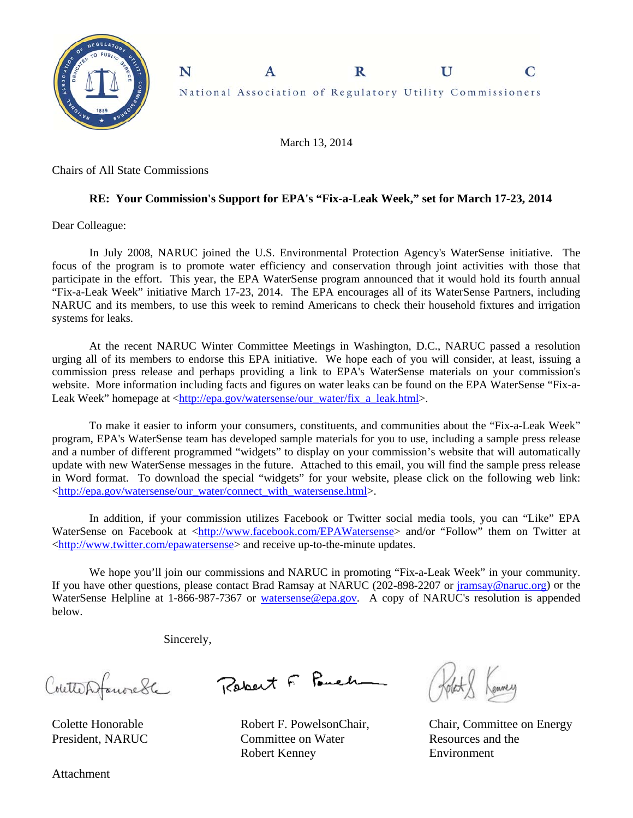

March 13, 2014

Chairs of All State Commissions

## **RE: Your Commission's Support for EPA's "Fix-a-Leak Week," set for March 17-23, 2014**

Dear Colleague:

In July 2008, NARUC joined the U.S. Environmental Protection Agency's WaterSense initiative. The focus of the program is to promote water efficiency and conservation through joint activities with those that participate in the effort. This year, the EPA WaterSense program announced that it would hold its fourth annual "Fix-a-Leak Week" initiative March 17-23, 2014. The EPA encourages all of its WaterSense Partners, including NARUC and its members, to use this week to remind Americans to check their household fixtures and irrigation systems for leaks.

At the recent NARUC Winter Committee Meetings in Washington, D.C., NARUC passed a resolution urging all of its members to endorse this EPA initiative. We hope each of you will consider, at least, issuing a commission press release and perhaps providing a link to EPA's WaterSense materials on your commission's website. More information including facts and figures on water leaks can be found on the EPA WaterSense "Fix-a-Leak Week" homepage at <http://epa.gov/watersense/our\_water/fix\_a\_leak.html>.

To make it easier to inform your consumers, constituents, and communities about the "Fix-a-Leak Week" program, EPA's WaterSense team has developed sample materials for you to use, including a sample press release and a number of different programmed "widgets" to display on your commission's website that will automatically update with new WaterSense messages in the future. Attached to this email, you will find the sample press release in Word format. To download the special "widgets" for your website, please click on the following web link: <http://epa.gov/watersense/our\_water/connect\_with\_watersense.html>.

In addition, if your commission utilizes Facebook or Twitter social media tools, you can "Like" EPA WaterSense on Facebook at <http://www.facebook.com/EPAWatersense> and/or "Follow" them on Twitter at <http://www.twitter.com/epawatersense> and receive up-to-the-minute updates.

We hope you'll join our commissions and NARUC in promoting "Fix-a-Leak Week" in your community. If you have other questions, please contact Brad Ramsay at NARUC (202-898-2207 or jramsay@naruc.org) or the WaterSense Helpline at 1-866-987-7367 or watersense@epa.gov. A copy of NARUC's resolution is appended below.

Sincerely,

Coutterfanorede

Colette Honorable President, NARUC

Robert F. Pouch

Robert F. PowelsonChair, Committee on Water Robert Kenney

Kenney

Chair, Committee on Energy Resources and the Environment

Attachment